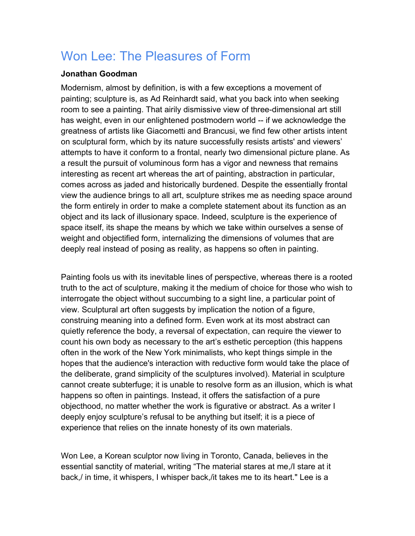## Won Lee: The Pleasures of Form

## **Jonathan Goodman**

Modernism, almost by definition, is with a few exceptions a movement of painting; sculpture is, as Ad Reinhardt said, what you back into when seeking room to see a painting. That airily dismissive view of three-dimensional art still has weight, even in our enlightened postmodern world -- if we acknowledge the greatness of artists like Giacometti and Brancusi, we find few other artists intent on sculptural form, which by its nature successfully resists artists' and viewers' attempts to have it conform to a frontal, nearly two dimensional picture plane. As a result the pursuit of voluminous form has a vigor and newness that remains interesting as recent art whereas the art of painting, abstraction in particular, comes across as jaded and historically burdened. Despite the essentially frontal view the audience brings to all art, sculpture strikes me as needing space around the form entirely in order to make a complete statement about its function as an object and its lack of illusionary space. Indeed, sculpture is the experience of space itself, its shape the means by which we take within ourselves a sense of weight and objectified form, internalizing the dimensions of volumes that are deeply real instead of posing as reality, as happens so often in painting.

Painting fools us with its inevitable lines of perspective, whereas there is a rooted truth to the act of sculpture, making it the medium of choice for those who wish to interrogate the object without succumbing to a sight line, a particular point of view. Sculptural art often suggests by implication the notion of a figure, construing meaning into a defined form. Even work at its most abstract can quietly reference the body, a reversal of expectation, can require the viewer to count his own body as necessary to the art's esthetic perception (this happens often in the work of the New York minimalists, who kept things simple in the hopes that the audience's interaction with reductive form would take the place of the deliberate, grand simplicity of the sculptures involved). Material in sculpture cannot create subterfuge; it is unable to resolve form as an illusion, which is what happens so often in paintings. Instead, it offers the satisfaction of a pure objecthood, no matter whether the work is figurative or abstract. As a writer I deeply enjoy sculpture's refusal to be anything but itself; it is a piece of experience that relies on the innate honesty of its own materials.

Won Lee, a Korean sculptor now living in Toronto, Canada, believes in the essential sanctity of material, writing "The material stares at me,/I stare at it back,/ in time, it whispers, I whisper back,/it takes me to its heart." Lee is a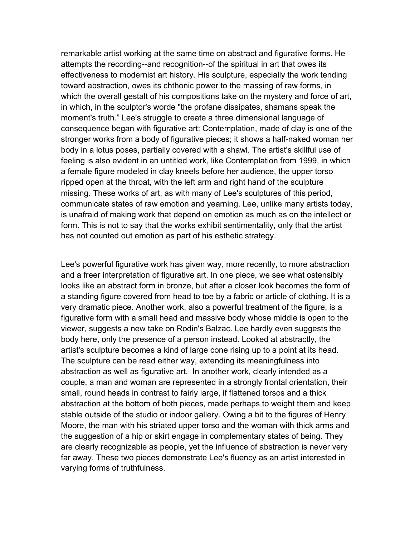remarkable artist working at the same time on abstract and figurative forms. He attempts the recording--and recognition--of the spiritual in art that owes its effectiveness to modernist art history. His sculpture, especially the work tending toward abstraction, owes its chthonic power to the massing of raw forms, in which the overall gestalt of his compositions take on the mystery and force of art, in which, in the sculptor's worde "the profane dissipates, shamans speak the moment's truth." Lee's struggle to create a three dimensional language of consequence began with figurative art: Contemplation, made of clay is one of the stronger works from a body of figurative pieces; it shows a half-naked woman her body in a lotus poses, partially covered with a shawl. The artist's skillful use of feeling is also evident in an untitled work, like Contemplation from 1999, in which a female figure modeled in clay kneels before her audience, the upper torso ripped open at the throat, with the left arm and right hand of the sculpture missing. These works of art, as with many of Lee's sculptures of this period, communicate states of raw emotion and yearning. Lee, unlike many artists today, is unafraid of making work that depend on emotion as much as on the intellect or form. This is not to say that the works exhibit sentimentality, only that the artist has not counted out emotion as part of his esthetic strategy.

Lee's powerful figurative work has given way, more recently, to more abstraction and a freer interpretation of figurative art. In one piece, we see what ostensibly looks like an abstract form in bronze, but after a closer look becomes the form of a standing figure covered from head to toe by a fabric or article of clothing. It is a very dramatic piece. Another work, also a powerful treatment of the figure, is a figurative form with a small head and massive body whose middle is open to the viewer, suggests a new take on Rodin's Balzac. Lee hardly even suggests the body here, only the presence of a person instead. Looked at abstractly, the artist's sculpture becomes a kind of large cone rising up to a point at its head. The sculpture can be read either way, extending its meaningfulness into abstraction as well as figurative art. In another work, clearly intended as a couple, a man and woman are represented in a strongly frontal orientation, their small, round heads in contrast to fairly large, if flattened torsos and a thick abstraction at the bottom of both pieces, made perhaps to weight them and keep stable outside of the studio or indoor gallery. Owing a bit to the figures of Henry Moore, the man with his striated upper torso and the woman with thick arms and the suggestion of a hip or skirt engage in complementary states of being. They are clearly recognizable as people, yet the influence of abstraction is never very far away. These two pieces demonstrate Lee's fluency as an artist interested in varying forms of truthfulness.